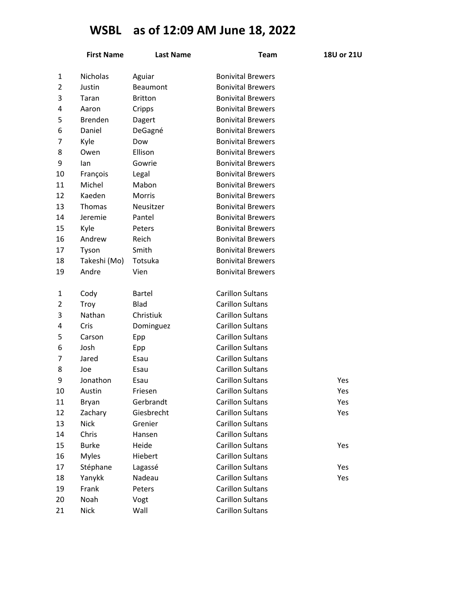## **WSBL as of 12:09 AM June 18, 2022**

|                | <b>First Name</b> | <b>Last Name</b> | <b>Team</b>              | 18U or 21U |
|----------------|-------------------|------------------|--------------------------|------------|
| 1              | <b>Nicholas</b>   | Aguiar           | <b>Bonivital Brewers</b> |            |
| $\overline{2}$ | Justin            | <b>Beaumont</b>  | <b>Bonivital Brewers</b> |            |
| 3              | Taran             | <b>Britton</b>   | <b>Bonivital Brewers</b> |            |
| 4              | Aaron             | Cripps           | <b>Bonivital Brewers</b> |            |
| 5              | <b>Brenden</b>    | Dagert           | <b>Bonivital Brewers</b> |            |
| 6              | Daniel            | DeGagné          | <b>Bonivital Brewers</b> |            |
| 7              | Kyle              | Dow              | <b>Bonivital Brewers</b> |            |
| 8              | Owen              | Ellison          | <b>Bonivital Brewers</b> |            |
| 9              | lan               | Gowrie           | <b>Bonivital Brewers</b> |            |
| 10             | François          | Legal            | <b>Bonivital Brewers</b> |            |
| 11             | Michel            | Mabon            | <b>Bonivital Brewers</b> |            |
| 12             | Kaeden            | <b>Morris</b>    | <b>Bonivital Brewers</b> |            |
| 13             | <b>Thomas</b>     | Neusitzer        | <b>Bonivital Brewers</b> |            |
| 14             | Jeremie           | Pantel           | <b>Bonivital Brewers</b> |            |
| 15             | Kyle              | Peters           | <b>Bonivital Brewers</b> |            |
| 16             | Andrew            | Reich            | <b>Bonivital Brewers</b> |            |
| 17             | Tyson             | Smith            | <b>Bonivital Brewers</b> |            |
| 18             | Takeshi (Mo)      | Totsuka          | <b>Bonivital Brewers</b> |            |
| 19             | Andre             | Vien             | <b>Bonivital Brewers</b> |            |
| 1              | Cody              | <b>Bartel</b>    | <b>Carillon Sultans</b>  |            |
| $\overline{2}$ | Troy              | Blad             | <b>Carillon Sultans</b>  |            |
| 3              | Nathan            | Christiuk        | <b>Carillon Sultans</b>  |            |
| 4              | Cris              | Dominguez        | <b>Carillon Sultans</b>  |            |
| 5              | Carson            | Epp              | <b>Carillon Sultans</b>  |            |
| 6              | Josh              | Epp              | <b>Carillon Sultans</b>  |            |
| 7              | Jared             | Esau             | <b>Carillon Sultans</b>  |            |
| 8              | Joe               | Esau             | <b>Carillon Sultans</b>  |            |
| 9              | Jonathon          | Esau             | <b>Carillon Sultans</b>  | Yes        |
| 10             | Austin            | Friesen          | <b>Carillon Sultans</b>  | Yes        |
| 11             | Bryan             | Gerbrandt        | <b>Carillon Sultans</b>  | Yes        |
| 12             | Zachary           | Giesbrecht       | <b>Carillon Sultans</b>  | Yes        |
| 13             | <b>Nick</b>       | Grenier          | <b>Carillon Sultans</b>  |            |
| 14             | Chris             | Hansen           | <b>Carillon Sultans</b>  |            |
| 15             | <b>Burke</b>      | Heide            | <b>Carillon Sultans</b>  | Yes        |
| 16             | <b>Myles</b>      | Hiebert          | <b>Carillon Sultans</b>  |            |
| 17             | Stéphane          | Lagassé          | <b>Carillon Sultans</b>  | Yes        |
| 18             | Yanykk            | Nadeau           | <b>Carillon Sultans</b>  | Yes        |
| 19             | Frank             | Peters           | <b>Carillon Sultans</b>  |            |
| 20             | Noah              | Vogt             | <b>Carillon Sultans</b>  |            |
| 21             | <b>Nick</b>       | Wall             | <b>Carillon Sultans</b>  |            |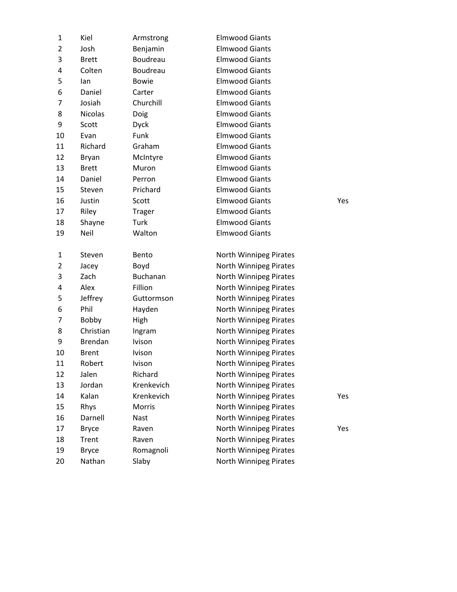| 1              | Kiel                   | Armstrong          | <b>Elmwood Giants</b>                            |     |
|----------------|------------------------|--------------------|--------------------------------------------------|-----|
| 2              | Josh                   | Benjamin           | <b>Elmwood Giants</b>                            |     |
| 3              | <b>Brett</b>           | Boudreau           | <b>Elmwood Giants</b>                            |     |
| 4              | Colten                 | Boudreau           | <b>Elmwood Giants</b>                            |     |
| 5              | lan                    | <b>Bowie</b>       | <b>Elmwood Giants</b>                            |     |
| 6              | Daniel                 | Carter             | <b>Elmwood Giants</b>                            |     |
| 7              | Josiah                 | Churchill          | <b>Elmwood Giants</b>                            |     |
| 8              | <b>Nicolas</b>         | Doig               | <b>Elmwood Giants</b>                            |     |
| 9              | Scott                  | <b>Dyck</b>        | <b>Elmwood Giants</b>                            |     |
| 10             | Evan                   | Funk               | <b>Elmwood Giants</b>                            |     |
| 11             | Richard                | Graham             | <b>Elmwood Giants</b>                            |     |
| 12             | <b>Bryan</b>           | McIntyre           | <b>Elmwood Giants</b>                            |     |
| 13             | <b>Brett</b>           | Muron              | <b>Elmwood Giants</b>                            |     |
| 14             | Daniel                 | Perron             | <b>Elmwood Giants</b>                            |     |
| 15             | Steven                 | Prichard           | <b>Elmwood Giants</b>                            |     |
| 16             | Justin                 | Scott              | <b>Elmwood Giants</b>                            | Yes |
| 17             | Riley                  | <b>Trager</b>      | <b>Elmwood Giants</b>                            |     |
| 18             | Shayne                 | <b>Turk</b>        | <b>Elmwood Giants</b>                            |     |
| 19             | Neil                   | Walton             | <b>Elmwood Giants</b>                            |     |
|                |                        |                    |                                                  |     |
| 1              | Steven                 | Bento              | North Winnipeg Pirates                           |     |
| $\overline{2}$ | Jacey                  | Boyd               | North Winnipeg Pirates                           |     |
| 3              | Zach                   | Buchanan           | North Winnipeg Pirates                           |     |
| 4              | Alex                   | Fillion            | North Winnipeg Pirates                           |     |
| 5              | Jeffrey                | Guttormson         | North Winnipeg Pirates                           |     |
| 6              | Phil                   | Hayden             | North Winnipeg Pirates                           |     |
| 7              | Bobby                  | High               | North Winnipeg Pirates                           |     |
| 8              | Christian              | Ingram             | <b>North Winnipeg Pirates</b>                    |     |
| 9              | <b>Brendan</b>         | <b>Ivison</b>      | North Winnipeg Pirates                           |     |
| 10             | <b>Brent</b>           | Ivison             | North Winnipeg Pirates                           |     |
| 11             | Robert                 | <b>Ivison</b>      | North Winnipeg Pirates                           |     |
| 12             | Jalen                  | Richard            | North Winnipeg Pirates                           |     |
| 13             | Jordan                 | Krenkevich         | North Winnipeg Pirates                           |     |
| 14             |                        |                    |                                                  |     |
|                | Kalan                  | Krenkevich         | North Winnipeg Pirates                           | Yes |
| 15             | Rhys                   | Morris             | North Winnipeg Pirates                           |     |
| 16             | Darnell                | <b>Nast</b>        | North Winnipeg Pirates                           |     |
| 17             | <b>Bryce</b>           | Raven              | North Winnipeg Pirates                           | Yes |
| 18             | Trent                  | Raven              | North Winnipeg Pirates                           |     |
| 19<br>20       | <b>Bryce</b><br>Nathan | Romagnoli<br>Slaby | North Winnipeg Pirates<br>North Winnipeg Pirates |     |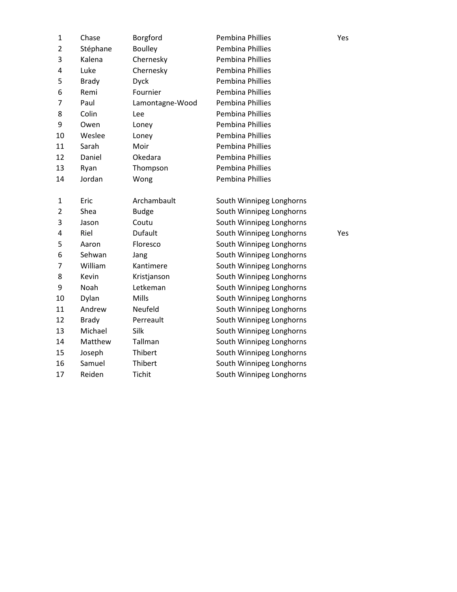| $\mathbf{1}$   | Chase        | Borgford        | <b>Pembina Phillies</b>  | Yes |
|----------------|--------------|-----------------|--------------------------|-----|
| $\overline{2}$ | Stéphane     | <b>Boulley</b>  | <b>Pembina Phillies</b>  |     |
| 3              | Kalena       | Chernesky       | <b>Pembina Phillies</b>  |     |
| 4              | Luke         | Chernesky       | <b>Pembina Phillies</b>  |     |
| 5              | <b>Brady</b> | <b>Dyck</b>     | Pembina Phillies         |     |
| 6              | Remi         | Fournier        | Pembina Phillies         |     |
| 7              | Paul         | Lamontagne-Wood | Pembina Phillies         |     |
| 8              | Colin        | Lee             | Pembina Phillies         |     |
| 9              | Owen         | Loney           | Pembina Phillies         |     |
| 10             | Weslee       | Loney           | Pembina Phillies         |     |
| 11             | Sarah        | Moir            | <b>Pembina Phillies</b>  |     |
| 12             | Daniel       | Okedara         | <b>Pembina Phillies</b>  |     |
| 13             | Ryan         | Thompson        | <b>Pembina Phillies</b>  |     |
| 14             | Jordan       | Wong            | <b>Pembina Phillies</b>  |     |
| $\mathbf{1}$   | Eric         | Archambault     | South Winnipeg Longhorns |     |
| $\overline{2}$ | Shea         | <b>Budge</b>    | South Winnipeg Longhorns |     |
| 3              | Jason        | Coutu           | South Winnipeg Longhorns |     |
| 4              | Riel         | Dufault         | South Winnipeg Longhorns | Yes |
| 5              | Aaron        | Floresco        | South Winnipeg Longhorns |     |
| 6              | Sehwan       | Jang            | South Winnipeg Longhorns |     |
| 7              | William      | Kantimere       | South Winnipeg Longhorns |     |
| 8              | Kevin        | Kristjanson     | South Winnipeg Longhorns |     |
| 9              | Noah         | Letkeman        | South Winnipeg Longhorns |     |
| 10             | Dylan        | Mills           | South Winnipeg Longhorns |     |
| 11             | Andrew       | Neufeld         | South Winnipeg Longhorns |     |
| 12             | <b>Brady</b> | Perreault       | South Winnipeg Longhorns |     |
| 13             | Michael      | Silk            | South Winnipeg Longhorns |     |
| 14             | Matthew      | Tallman         | South Winnipeg Longhorns |     |
| 15             | Joseph       | Thibert         | South Winnipeg Longhorns |     |
| 16             | Samuel       | Thibert         | South Winnipeg Longhorns |     |
| 17             | Reiden       | Tichit          | South Winnipeg Longhorns |     |
|                |              |                 |                          |     |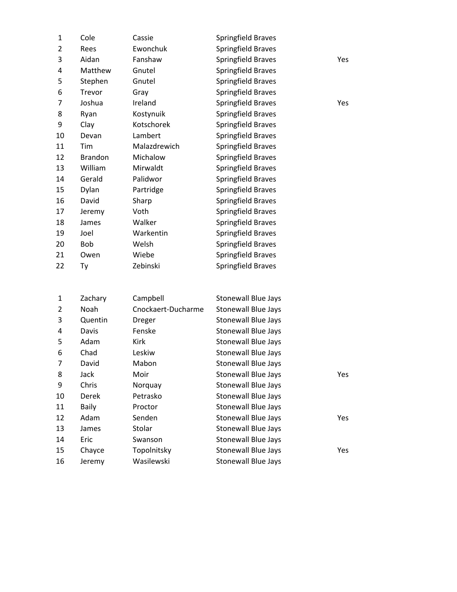| $\mathbf{1}$   | Cole           | Cassie             | Springfield Braves         |     |
|----------------|----------------|--------------------|----------------------------|-----|
| $\overline{2}$ | Rees           | Ewonchuk           | <b>Springfield Braves</b>  |     |
| 3              | Aidan          | Fanshaw            | <b>Springfield Braves</b>  | Yes |
| 4              | Matthew        | Gnutel             | <b>Springfield Braves</b>  |     |
| 5              | Stephen        | Gnutel             | Springfield Braves         |     |
| 6              | Trevor         | Gray               | <b>Springfield Braves</b>  |     |
| 7              | Joshua         | Ireland            | <b>Springfield Braves</b>  | Yes |
| 8              | Ryan           | Kostynuik          | Springfield Braves         |     |
| 9              | Clay           | Kotschorek         | Springfield Braves         |     |
| 10             | Devan          | Lambert            | <b>Springfield Braves</b>  |     |
| 11             | Tim            | Malazdrewich       | <b>Springfield Braves</b>  |     |
| 12             | <b>Brandon</b> | Michalow           | Springfield Braves         |     |
| 13             | William        | Mirwaldt           | Springfield Braves         |     |
| 14             | Gerald         | Palidwor           | Springfield Braves         |     |
| 15             | Dylan          | Partridge          | <b>Springfield Braves</b>  |     |
| 16             | David          | Sharp              | <b>Springfield Braves</b>  |     |
| 17             | Jeremy         | Voth               | Springfield Braves         |     |
| 18             | James          | Walker             | <b>Springfield Braves</b>  |     |
| 19             | Joel           | Warkentin          | <b>Springfield Braves</b>  |     |
| 20             | Bob            | Welsh              | <b>Springfield Braves</b>  |     |
| 21             | Owen           | Wiebe              | <b>Springfield Braves</b>  |     |
| 22             | Ty             | Zebinski           | <b>Springfield Braves</b>  |     |
|                |                |                    |                            |     |
| 1              | Zachary        | Campbell           | <b>Stonewall Blue Jays</b> |     |
| $\overline{2}$ | Noah           | Cnockaert-Ducharme | <b>Stonewall Blue Jays</b> |     |
| 3              | Quentin        | Dreger             | <b>Stonewall Blue Jays</b> |     |
| 4              | Davis          | Fenske             | <b>Stonewall Blue Jays</b> |     |
| 5              | Adam           | Kirk               | <b>Stonewall Blue Jays</b> |     |
| 6              | Chad           | Leskiw             | <b>Stonewall Blue Jays</b> |     |
| 7              | David          | Mabon              | <b>Stonewall Blue Jays</b> |     |
| 8              | Jack           | Moir               | <b>Stonewall Blue Jays</b> | Yes |
| 9              | Chris          | Norquay            | Stonewall Blue Jays        |     |
| 10             | Derek          | Petrasko           | <b>Stonewall Blue Jays</b> |     |
| 11             | <b>Baily</b>   | Proctor            | Stonewall Blue Jays        |     |
| 12             | Adam           | Senden             | Stonewall Blue Jays        | Yes |
| 13             | James          | Stolar             | Stonewall Blue Jays        |     |
| 14             | Eric           | Swanson            | Stonewall Blue Jays        |     |
| 15             | Chayce         | Topolnitsky        | <b>Stonewall Blue Jays</b> | Yes |
| 16             | Jeremy         | Wasilewski         | Stonewall Blue Jays        |     |